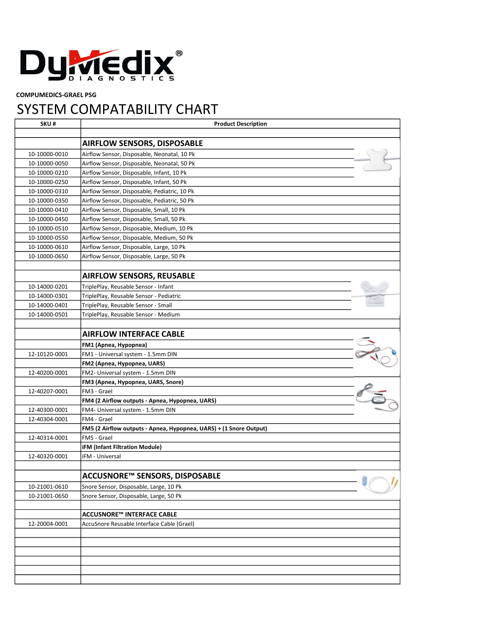

COMPUMEDICS-GRAEL PSG

## SYSTEM COMPATABILITY CHART

| SKU#          | <b>Product Description</b>                                         |  |
|---------------|--------------------------------------------------------------------|--|
|               | <b>AIRFLOW SENSORS, DISPOSABLE</b>                                 |  |
| 10-10000-0010 | Airflow Sensor, Disposable, Neonatal, 10 Pk                        |  |
| 10-10000-0050 | Airflow Sensor, Disposable, Neonatal, 50 Pk                        |  |
| 10-10000-0210 | Airflow Sensor, Disposable, Infant, 10 Pk                          |  |
| 10-10000-0250 | Airflow Sensor, Disposable, Infant, 50 Pk                          |  |
| 10-10000-0310 | Airflow Sensor, Disposable, Pediatric, 10 Pk                       |  |
| 10-10000-0350 | Airflow Sensor, Disposable, Pediatric, 50 Pk                       |  |
| 10-10000-0410 | Airflow Sensor, Disposable, Small, 10 Pk                           |  |
| 10-10000-0450 | Airflow Sensor, Disposable, Small, 50 Pk                           |  |
| 10-10000-0510 | Airflow Sensor, Disposable, Medium, 10 Pk                          |  |
| 10-10000-0550 | Airflow Sensor, Disposable, Medium, 50 Pk                          |  |
| 10-10000-0610 | Airflow Sensor, Disposable, Large, 10 Pk                           |  |
| 10-10000-0650 | Airflow Sensor, Disposable, Large, 50 Pk                           |  |
|               |                                                                    |  |
|               | <b>AIRFLOW SENSORS, REUSABLE</b>                                   |  |
| 10-14000-0201 | TriplePlay, Reusable Sensor - Infant                               |  |
| 10-14000-0301 | TriplePlay, Reusable Sensor - Pediatric                            |  |
| 10-14000-0401 | TriplePlay, Reusable Sensor - Small                                |  |
| 10-14000-0501 | TriplePlay, Reusable Sensor - Medium                               |  |
|               |                                                                    |  |
|               | <b>AIRFLOW INTERFACE CABLE</b>                                     |  |
|               | FM1 (Apnea, Hypopnea)                                              |  |
| 12-10120-0001 | FM1 - Universal system - 1.5mm DIN                                 |  |
|               | FM2 (Apnea, Hypopnea, UARS)                                        |  |
| 12-40200-0001 | FM2- Universal system - 1.5mm DIN                                  |  |
|               | FM3 (Apnea, Hypopnea, UARS, Snore)                                 |  |
| 12-40207-0001 | FM3 - Grael                                                        |  |
|               | FM4 (2 Airflow outputs - Apnea, Hypopnea, UARS)                    |  |
| 12-40300-0001 | FM4- Universal system - 1.5mm DIN                                  |  |
| 12-40304-0001 | FM4 - Grael                                                        |  |
|               | FM5 (2 Airflow outputs - Apnea, Hypopnea, UARS) + (1 Snore Output) |  |
| 12-40314-0001 | FM5 - Grael                                                        |  |
|               | <b>iFM (Infant Filtration Module)</b>                              |  |
| 12-40320-0001 | iFM - Universal                                                    |  |
|               |                                                                    |  |
|               | ACCUSNORE™ SENSORS, DISPOSABLE                                     |  |
| 10-21001-0610 | Snore Sensor, Disposable, Large, 10 Pk                             |  |
| 10-21001-0650 | Snore Sensor, Disposable, Large, 50 Pk                             |  |
|               |                                                                    |  |
|               | <b>ACCUSNORE™ INTERFACE CABLE</b>                                  |  |
| 12-20004-0001 | AccuSnore Reusable Interface Cable (Grael)                         |  |
|               |                                                                    |  |
|               |                                                                    |  |
|               |                                                                    |  |
|               |                                                                    |  |
|               |                                                                    |  |
|               |                                                                    |  |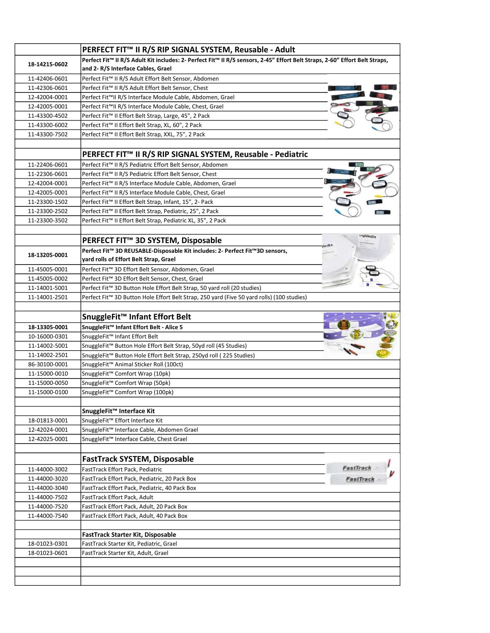|               | PERFECT FIT™ II R/S RIP SIGNAL SYSTEM, Reusable - Adult                                                                                                          |
|---------------|------------------------------------------------------------------------------------------------------------------------------------------------------------------|
| 18-14215-0602 | Perfect Fit™ II R/S Adult Kit includes: 2- Perfect Fit™ II R/S sensors, 2-45" Effort Belt Straps, 2-60" Effort Belt Straps,<br>and 2-R/S Interface Cables, Grael |
| 11-42406-0601 | Perfect Fit™ II R/S Adult Effort Belt Sensor, Abdomen                                                                                                            |
| 11-42306-0601 | Perfect Fit™ II R/S Adult Effort Belt Sensor, Chest                                                                                                              |
| 12-42004-0001 | Perfect Fit™II R/S Interface Module Cable, Abdomen, Grael                                                                                                        |
| 12-42005-0001 | Perfect Fit™II R/S Interface Module Cable, Chest, Grael                                                                                                          |
| 11-43300-4502 | Perfect Fit™ II Effort Belt Strap, Large, 45", 2 Pack                                                                                                            |
| 11-43300-6002 | Perfect Fit™ II Effort Belt Strap, XL, 60", 2 Pack                                                                                                               |
| 11-43300-7502 | Perfect Fit™ II Effort Belt Strap, XXL, 75", 2 Pack                                                                                                              |
|               |                                                                                                                                                                  |
|               | PERFECT FIT™ II R/S RIP SIGNAL SYSTEM, Reusable - Pediatric                                                                                                      |
| 11-22406-0601 | Perfect Fit™ II R/S Pediatric Effort Belt Sensor, Abdomen                                                                                                        |
| 11-22306-0601 | Perfect Fit™ II R/S Pediatric Effort Belt Sensor, Chest                                                                                                          |
| 12-42004-0001 | Perfect Fit™ II R/S Interface Module Cable, Abdomen, Grael                                                                                                       |
| 12-42005-0001 | Perfect Fit™ II R/S Interface Module Cable, Chest, Grael                                                                                                         |
| 11-23300-1502 | Perfect Fit <sup>™</sup> II Effort Belt Strap, Infant, 15", 2- Pack                                                                                              |
| 11-23300-2502 | Perfect Fit™ II Effort Belt Strap, Pediatric, 25", 2 Pack                                                                                                        |
| 11-23300-3502 | Perfect Fit™ II Effort Belt Strap, Pediatric XL, 35", 2 Pack                                                                                                     |
|               |                                                                                                                                                                  |
|               | PERFECT FIT <sup>™</sup> 3D SYSTEM, Disposable                                                                                                                   |
|               |                                                                                                                                                                  |
| 18-13205-0001 | Perfect Fit™ 3D REUSABLE-Disposable Kit includes: 2- Perfect Fit™3D sensors,<br>yard rolls of Effort Belt Strap, Grael                                           |
| 11-45005-0001 | Perfect Fit™ 3D Effort Belt Sensor, Abdomen, Grael                                                                                                               |
|               |                                                                                                                                                                  |
| 11-45005-0002 | Perfect Fit™ 3D Effort Belt Sensor, Chest, Grael                                                                                                                 |
| 11-14001-5001 | Perfect Fit™ 3D Button Hole Effort Belt Strap, 50 yard roll (20 studies)                                                                                         |
| 11-14001-2501 | Perfect Fit™ 3D Button Hole Effort Belt Strap, 250 yard (Five 50 yard rolls) (100 studies)                                                                       |
|               |                                                                                                                                                                  |
|               | SnuggleFit <sup>™</sup> Infant Effort Belt                                                                                                                       |
| 18-13305-0001 | SnuggleFit™ Infant Effort Belt - Alice 5                                                                                                                         |
| 10-16000-0301 | SnuggleFit <sup>™</sup> Infant Effort Belt                                                                                                                       |
| 11-14002-5001 | SnuggleFit™ Button Hole Effort Belt Strap, 50yd roll (45 Studies)                                                                                                |
| 11-14002-2501 | SnuggleFit™ Button Hole Effort Belt Strap, 250yd roll (225 Studies)                                                                                              |
| 86-30100-0001 | SnuggleFit™ Animal Sticker Roll (100ct)                                                                                                                          |
| 11-15000-0010 | SnuggleFit <sup>™</sup> Comfort Wrap (10pk)                                                                                                                      |
| 11-15000-0050 | SnuggleFit™ Comfort Wrap (50pk)                                                                                                                                  |
| 11-15000-0100 | SnuggleFit <sup>™</sup> Comfort Wrap (100pk)                                                                                                                     |
|               |                                                                                                                                                                  |
|               | SnuggleFit™ Interface Kit                                                                                                                                        |
| 18-01813-0001 | SnuggleFit <sup>™</sup> Effort Interface Kit                                                                                                                     |
| 12-42024-0001 | SnuggleFit™ Interface Cable, Abdomen Grael                                                                                                                       |
| 12-42025-0001 | SnuggleFit™ Interface Cable, Chest Grael                                                                                                                         |
|               |                                                                                                                                                                  |
|               | <b>FastTrack SYSTEM, Disposable</b>                                                                                                                              |
| 11-44000-3002 | FastTrack -<br>FastTrack Effort Pack, Pediatric                                                                                                                  |
| 11-44000-3020 | FastTrack Effort Pack, Pediatric, 20 Pack Box                                                                                                                    |
| 11-44000-3040 | FastTrack Effort Pack, Pediatric, 40 Pack Box                                                                                                                    |
| 11-44000-7502 | FastTrack Effort Pack, Adult                                                                                                                                     |
| 11-44000-7520 | FastTrack Effort Pack, Adult, 20 Pack Box                                                                                                                        |
| 11-44000-7540 | FastTrack Effort Pack, Adult, 40 Pack Box                                                                                                                        |
|               |                                                                                                                                                                  |
|               | FastTrack Starter Kit, Disposable                                                                                                                                |
| 18-01023-0301 | FastTrack Starter Kit, Pediatric, Grael                                                                                                                          |
| 18-01023-0601 | FastTrack Starter Kit, Adult, Grael                                                                                                                              |
|               |                                                                                                                                                                  |
|               |                                                                                                                                                                  |
|               |                                                                                                                                                                  |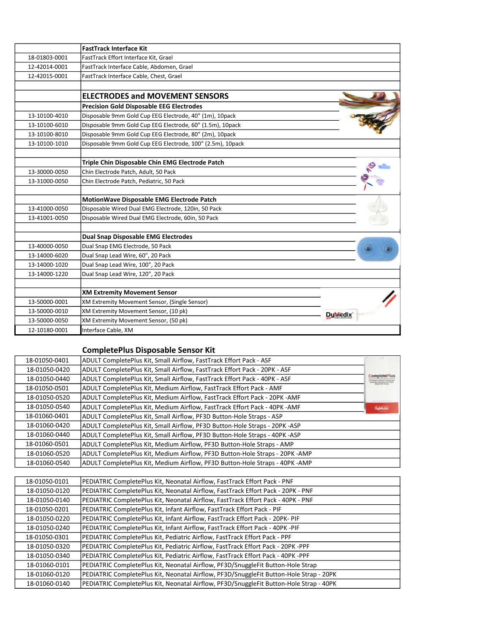|               | <b>FastTrack Interface Kit</b>                             |                  |
|---------------|------------------------------------------------------------|------------------|
| 18-01803-0001 | FastTrack Effort Interface Kit, Grael                      |                  |
| 12-42014-0001 | FastTrack Interface Cable, Abdomen, Grael                  |                  |
| 12-42015-0001 | FastTrack Interface Cable, Chest, Grael                    |                  |
|               |                                                            |                  |
|               | <b>ELECTRODES and MOVEMENT SENSORS</b>                     |                  |
|               | <b>Precision Gold Disposable EEG Electrodes</b>            |                  |
| 13-10100-4010 | Disposable 9mm Gold Cup EEG Electrode, 40" (1m), 10pack    |                  |
| 13-10100-6010 | Disposable 9mm Gold Cup EEG Electrode, 60" (1.5m), 10pack  |                  |
| 13-10100-8010 | Disposable 9mm Gold Cup EEG Electrode, 80" (2m), 10pack    |                  |
| 13-10100-1010 | Disposable 9mm Gold Cup EEG Electrode, 100" (2.5m), 10pack |                  |
|               |                                                            |                  |
|               | Triple Chin Disposable Chin EMG Electrode Patch            |                  |
| 13-30000-0050 | Chin Electrode Patch, Adult, 50 Pack                       |                  |
| 13-31000-0050 | Chin Electrode Patch, Pediatric, 50 Pack                   |                  |
|               |                                                            |                  |
|               | MotionWave Disposable EMG Electrode Patch                  |                  |
| 13-41000-0050 | Disposable Wired Dual EMG Electrode, 120in, 50 Pack        |                  |
| 13-41001-0050 | Disposable Wired Dual EMG Electrode, 60in, 50 Pack         |                  |
|               |                                                            |                  |
|               | <b>Dual Snap Disposable EMG Electrodes</b>                 |                  |
| 13-40000-0050 | Dual Snap EMG Electrode, 50 Pack                           |                  |
| 13-14000-6020 | Dual Snap Lead Wire, 60", 20 Pack                          |                  |
| 13-14000-1020 | Dual Snap Lead Wire, 100", 20 Pack                         |                  |
| 13-14000-1220 | Dual Snap Lead Wire, 120", 20 Pack                         |                  |
|               |                                                            |                  |
|               | <b>XM Extremity Movement Sensor</b>                        |                  |
| 13-50000-0001 | XM Extremity Movement Sensor, (Single Sensor)              |                  |
| 13-50000-0010 | XM Extremity Movement Sensor, (10 pk)                      | <b>Dy</b> viedix |
| 13-50000-0050 | XM Extremity Movement Sensor, (50 pk)                      |                  |
| 12-10180-0001 | Interface Cable, XM                                        |                  |

## CompletePlus Disposable Sensor Kit

|                                                                                     | ADULT CompletePlus Kit, Small Airflow, FastTrack Effort Pack - ASF          | 18-01050-0401 |  |
|-------------------------------------------------------------------------------------|-----------------------------------------------------------------------------|---------------|--|
|                                                                                     | ADULT CompletePlus Kit, Small Airflow, FastTrack Effort Pack - 20PK - ASF   | 18-01050-0420 |  |
| CompletePlus<br>ngasta Callactibus of University<br>Invades bool Genesis his Dingit | ADULT CompletePlus Kit, Small Airflow, FastTrack Effort Pack - 40PK - ASF   | 18-01050-0440 |  |
|                                                                                     | ADULT CompletePlus Kit, Medium Airflow, FastTrack Effort Pack - AMF         | 18-01050-0501 |  |
|                                                                                     | ADULT CompletePlus Kit, Medium Airflow, FastTrack Effort Pack - 20PK - AMF  | 18-01050-0520 |  |
| DyMedix                                                                             | ADULT CompletePlus Kit, Medium Airflow, FastTrack Effort Pack - 40PK - AMF  | 18-01050-0540 |  |
|                                                                                     | ADULT CompletePlus Kit, Small Airflow, PF3D Button-Hole Straps - ASP        | 18-01060-0401 |  |
|                                                                                     | ADULT CompletePlus Kit, Small Airflow, PF3D Button-Hole Straps - 20PK -ASP  | 18-01060-0420 |  |
|                                                                                     | ADULT CompletePlus Kit, Small Airflow, PF3D Button-Hole Straps - 40PK -ASP  | 18-01060-0440 |  |
|                                                                                     | ADULT CompletePlus Kit, Medium Airflow, PF3D Button-Hole Straps - AMP       | 18-01060-0501 |  |
|                                                                                     | ADULT CompletePlus Kit, Medium Airflow, PF3D Button-Hole Straps - 20PK -AMP | 18-01060-0520 |  |
|                                                                                     | ADULT CompletePlus Kit, Medium Airflow, PF3D Button-Hole Straps - 40PK -AMP | 18-01060-0540 |  |
|                                                                                     |                                                                             |               |  |

| 18-01050-0101 | PEDIATRIC CompletePlus Kit, Neonatal Airflow, FastTrack Effort Pack - PNF              |
|---------------|----------------------------------------------------------------------------------------|
| 18-01050-0120 | PEDIATRIC CompletePlus Kit, Neonatal Airflow, FastTrack Effort Pack - 20PK - PNF       |
| 18-01050-0140 | PEDIATRIC CompletePlus Kit, Neonatal Airflow, FastTrack Effort Pack - 40PK - PNF       |
| 18-01050-0201 | PEDIATRIC CompletePlus Kit, Infant Airflow, FastTrack Effort Pack - PIF                |
| 18-01050-0220 | PEDIATRIC CompletePlus Kit, Infant Airflow, FastTrack Effort Pack - 20PK- PIF          |
| 18-01050-0240 | PEDIATRIC CompletePlus Kit, Infant Airflow, FastTrack Effort Pack - 40PK -PIF          |
| 18-01050-0301 | PEDIATRIC CompletePlus Kit, Pediatric Airflow, FastTrack Effort Pack - PPF             |
| 18-01050-0320 | PEDIATRIC CompletePlus Kit, Pediatric Airflow, FastTrack Effort Pack - 20PK -PPF       |
| 18-01050-0340 | PEDIATRIC CompletePlus Kit, Pediatric Airflow, FastTrack Effort Pack - 40PK -PPF       |
| 18-01060-0101 | PEDIATRIC CompletePlus Kit, Neonatal Airflow, PF3D/SnuggleFit Button-Hole Strap        |
| 18-01060-0120 | PEDIATRIC CompletePlus Kit, Neonatal Airflow, PF3D/SnuggleFit Button-Hole Strap - 20PK |
| 18-01060-0140 | PEDIATRIC CompletePlus Kit, Neonatal Airflow, PF3D/SnuggleFit Button-Hole Strap - 40PK |
|               |                                                                                        |